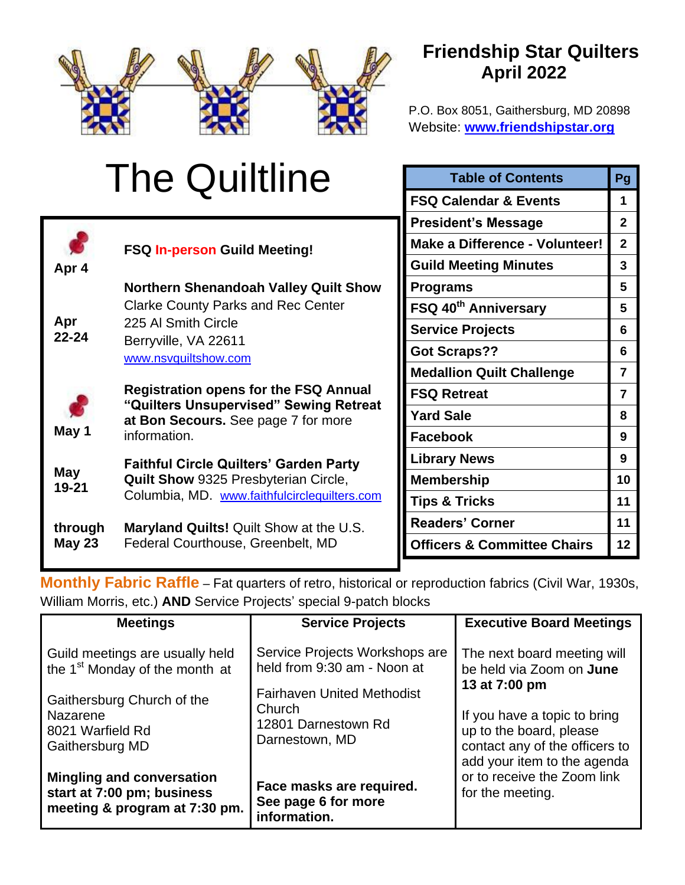

# **Friendship Star Quilters April 2022**

P.O. Box 8051, Gaithersburg, MD 20898 Website: **[www.friendshipstar.org](http://www.friendshipstar.org/)**

|                           | <b>The Quiltline</b>                                                                                                                                             | <b>Table of Contents</b>               |                |
|---------------------------|------------------------------------------------------------------------------------------------------------------------------------------------------------------|----------------------------------------|----------------|
|                           |                                                                                                                                                                  | <b>FSQ Calendar &amp; Events</b>       | 1              |
|                           |                                                                                                                                                                  | <b>President's Message</b>             | $\mathbf{2}$   |
|                           | <b>FSQ In-person Guild Meeting!</b>                                                                                                                              | Make a Difference - Volunteer!         | $\overline{2}$ |
| Apr 4<br>Apr<br>$22 - 24$ | <b>Northern Shenandoah Valley Quilt Show</b><br><b>Clarke County Parks and Rec Center</b><br>225 Al Smith Circle<br>Berryville, VA 22611<br>www.nsvquiltshow.com | <b>Guild Meeting Minutes</b>           | 3              |
|                           |                                                                                                                                                                  | <b>Programs</b>                        | 5              |
|                           |                                                                                                                                                                  | FSQ 40 <sup>th</sup> Anniversary       | 5              |
|                           |                                                                                                                                                                  | <b>Service Projects</b>                | 6              |
|                           |                                                                                                                                                                  | <b>Got Scraps??</b>                    | 6              |
|                           |                                                                                                                                                                  | <b>Medallion Quilt Challenge</b>       | 7              |
| May 1                     | <b>Registration opens for the FSQ Annual</b><br>"Quilters Unsupervised" Sewing Retreat<br>at Bon Secours. See page 7 for more<br>information.                    | <b>FSQ Retreat</b>                     | $\overline{7}$ |
|                           |                                                                                                                                                                  | <b>Yard Sale</b>                       | 8              |
|                           |                                                                                                                                                                  | <b>Facebook</b>                        | 9              |
| May<br>$19 - 21$          | <b>Faithful Circle Quilters' Garden Party</b><br><b>Quilt Show 9325 Presbyterian Circle,</b><br>Columbia, MD. www.faithfulcirclequilters.com                     | <b>Library News</b>                    | 9              |
|                           |                                                                                                                                                                  | <b>Membership</b>                      | 10             |
|                           |                                                                                                                                                                  | <b>Tips &amp; Tricks</b>               | 11             |
| through                   | Maryland Quilts! Quilt Show at the U.S.<br>Federal Courthouse, Greenbelt, MD                                                                                     | <b>Readers' Corner</b>                 | 11             |
| <b>May 23</b>             |                                                                                                                                                                  | <b>Officers &amp; Committee Chairs</b> | 12             |

**Monthly Fabric Raffle** – Fat quarters of retro, historical or reproduction fabrics (Civil War, 1930s, William Morris, etc.) **AND** Service Projects' special 9-patch blocks

| <b>Meetings</b>                                                                                 | <b>Service Projects</b>                                                                                                                                                | <b>Executive Board Meetings</b>                                                                                          |
|-------------------------------------------------------------------------------------------------|------------------------------------------------------------------------------------------------------------------------------------------------------------------------|--------------------------------------------------------------------------------------------------------------------------|
| Guild meetings are usually held<br>the 1 <sup>st</sup> Monday of the month at                   | Service Projects Workshops are<br>held from 9:30 am - Noon at<br>13 at 7:00 pm<br><b>Fairhaven United Methodist</b><br>Church<br>12801 Darnestown Rd<br>Darnestown, MD | The next board meeting will<br>be held via Zoom on <b>June</b>                                                           |
| Gaithersburg Church of the<br>Nazarene<br>8021 Warfield Rd<br>Gaithersburg MD                   |                                                                                                                                                                        | If you have a topic to bring<br>up to the board, please<br>contact any of the officers to<br>add your item to the agenda |
| <b>Mingling and conversation</b><br>start at 7:00 pm; business<br>meeting & program at 7:30 pm. | Face masks are required.<br>See page 6 for more<br>information.                                                                                                        | or to receive the Zoom link<br>for the meeting.                                                                          |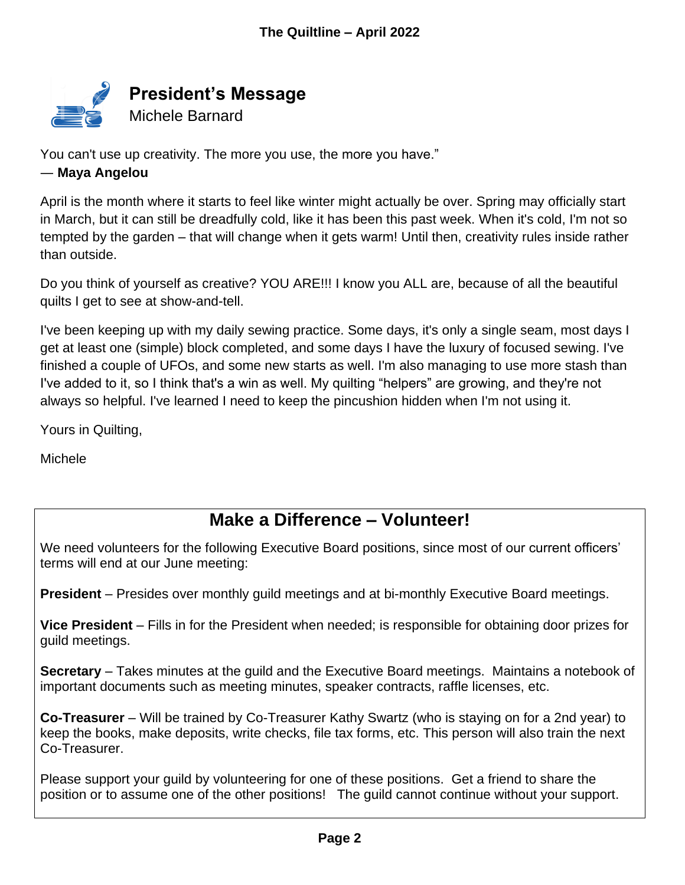

You can't use up creativity. The more you use, the more you have."

## ― **Maya Angelou**

April is the month where it starts to feel like winter might actually be over. Spring may officially start in March, but it can still be dreadfully cold, like it has been this past week. When it's cold, I'm not so tempted by the garden – that will change when it gets warm! Until then, creativity rules inside rather than outside.

Do you think of yourself as creative? YOU ARE!!! I know you ALL are, because of all the beautiful quilts I get to see at show-and-tell.

I've been keeping up with my daily sewing practice. Some days, it's only a single seam, most days I get at least one (simple) block completed, and some days I have the luxury of focused sewing. I've finished a couple of UFOs, and some new starts as well. I'm also managing to use more stash than I've added to it, so I think that's a win as well. My quilting "helpers" are growing, and they're not always so helpful. I've learned I need to keep the pincushion hidden when I'm not using it.

Yours in Quilting,

Michele

## **Make a Difference – Volunteer!**

We need volunteers for the following Executive Board positions, since most of our current officers' terms will end at our June meeting:

**President** – Presides over monthly guild meetings and at bi-monthly Executive Board meetings.

**Vice President** – Fills in for the President when needed; is responsible for obtaining door prizes for guild meetings.

**Secretary** – Takes minutes at the guild and the Executive Board meetings. Maintains a notebook of important documents such as meeting minutes, speaker contracts, raffle licenses, etc.

**Co-Treasurer** – Will be trained by Co-Treasurer Kathy Swartz (who is staying on for a 2nd year) to keep the books, make deposits, write checks, file tax forms, etc. This person will also train the next Co-Treasurer.

Please support your guild by volunteering for one of these positions. Get a friend to share the position or to assume one of the other positions! The guild cannot continue without your support.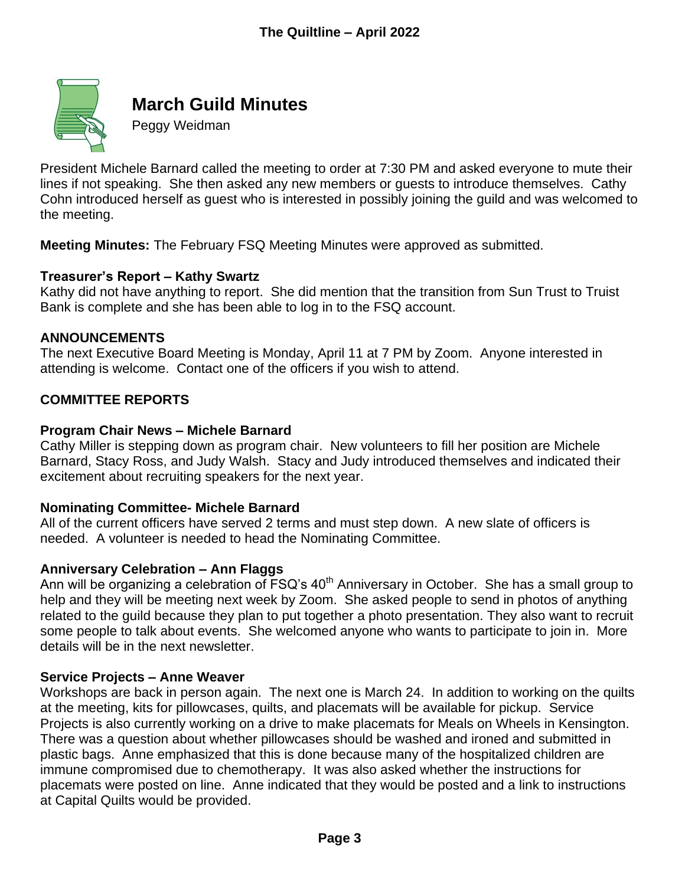

## **March Guild Minutes**

Peggy Weidman

President Michele Barnard called the meeting to order at 7:30 PM and asked everyone to mute their lines if not speaking. She then asked any new members or guests to introduce themselves. Cathy Cohn introduced herself as guest who is interested in possibly joining the guild and was welcomed to the meeting.

**Meeting Minutes:** The February FSQ Meeting Minutes were approved as submitted.

## **Treasurer's Report – Kathy Swartz**

Kathy did not have anything to report. She did mention that the transition from Sun Trust to Truist Bank is complete and she has been able to log in to the FSQ account.

#### **ANNOUNCEMENTS**

The next Executive Board Meeting is Monday, April 11 at 7 PM by Zoom. Anyone interested in attending is welcome. Contact one of the officers if you wish to attend.

## **COMMITTEE REPORTS**

#### **Program Chair News – Michele Barnard**

Cathy Miller is stepping down as program chair. New volunteers to fill her position are Michele Barnard, Stacy Ross, and Judy Walsh. Stacy and Judy introduced themselves and indicated their excitement about recruiting speakers for the next year.

#### **Nominating Committee- Michele Barnard**

All of the current officers have served 2 terms and must step down. A new slate of officers is needed. A volunteer is needed to head the Nominating Committee.

#### **Anniversary Celebration – Ann Flaggs**

Ann will be organizing a celebration of  $\overline{FSQ}$ 's 40<sup>th</sup> Anniversary in October. She has a small group to help and they will be meeting next week by Zoom. She asked people to send in photos of anything related to the guild because they plan to put together a photo presentation. They also want to recruit some people to talk about events. She welcomed anyone who wants to participate to join in. More details will be in the next newsletter.

#### **Service Projects – Anne Weaver**

Workshops are back in person again. The next one is March 24. In addition to working on the quilts at the meeting, kits for pillowcases, quilts, and placemats will be available for pickup. Service Projects is also currently working on a drive to make placemats for Meals on Wheels in Kensington. There was a question about whether pillowcases should be washed and ironed and submitted in plastic bags. Anne emphasized that this is done because many of the hospitalized children are immune compromised due to chemotherapy. It was also asked whether the instructions for placemats were posted on line. Anne indicated that they would be posted and a link to instructions at Capital Quilts would be provided.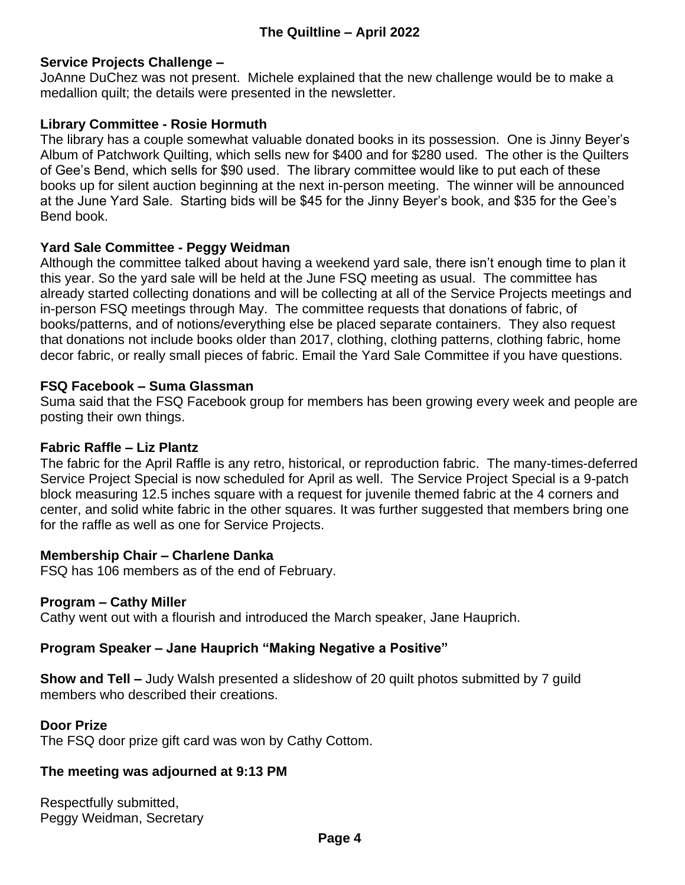## **Service Projects Challenge –**

JoAnne DuChez was not present. Michele explained that the new challenge would be to make a medallion quilt; the details were presented in the newsletter.

## **Library Committee - Rosie Hormuth**

The library has a couple somewhat valuable donated books in its possession. One is Jinny Beyer's Album of Patchwork Quilting, which sells new for \$400 and for \$280 used. The other is the Quilters of Gee's Bend, which sells for \$90 used. The library committee would like to put each of these books up for silent auction beginning at the next in-person meeting. The winner will be announced at the June Yard Sale. Starting bids will be \$45 for the Jinny Beyer's book, and \$35 for the Gee's Bend book.

## **Yard Sale Committee - Peggy Weidman**

Although the committee talked about having a weekend yard sale, there isn't enough time to plan it this year. So the yard sale will be held at the June FSQ meeting as usual. The committee has already started collecting donations and will be collecting at all of the Service Projects meetings and in-person FSQ meetings through May. The committee requests that donations of fabric, of books/patterns, and of notions/everything else be placed separate containers. They also request that donations not include books older than 2017, clothing, clothing patterns, clothing fabric, home decor fabric, or really small pieces of fabric. Email the Yard Sale Committee if you have questions.

#### **FSQ Facebook – Suma Glassman**

Suma said that the FSQ Facebook group for members has been growing every week and people are posting their own things.

#### **Fabric Raffle – Liz Plantz**

The fabric for the April Raffle is any retro, historical, or reproduction fabric. The many-times-deferred Service Project Special is now scheduled for April as well. The Service Project Special is a 9-patch block measuring 12.5 inches square with a request for juvenile themed fabric at the 4 corners and center, and solid white fabric in the other squares. It was further suggested that members bring one for the raffle as well as one for Service Projects.

#### **Membership Chair – Charlene Danka**

FSQ has 106 members as of the end of February.

#### **Program – Cathy Miller**

Cathy went out with a flourish and introduced the March speaker, Jane Hauprich.

## **Program Speaker – Jane Hauprich "Making Negative a Positive"**

**Show and Tell –** Judy Walsh presented a slideshow of 20 quilt photos submitted by 7 guild members who described their creations.

#### **Door Prize**

The FSQ door prize gift card was won by Cathy Cottom.

#### **The meeting was adjourned at 9:13 PM**

Respectfully submitted, Peggy Weidman, Secretary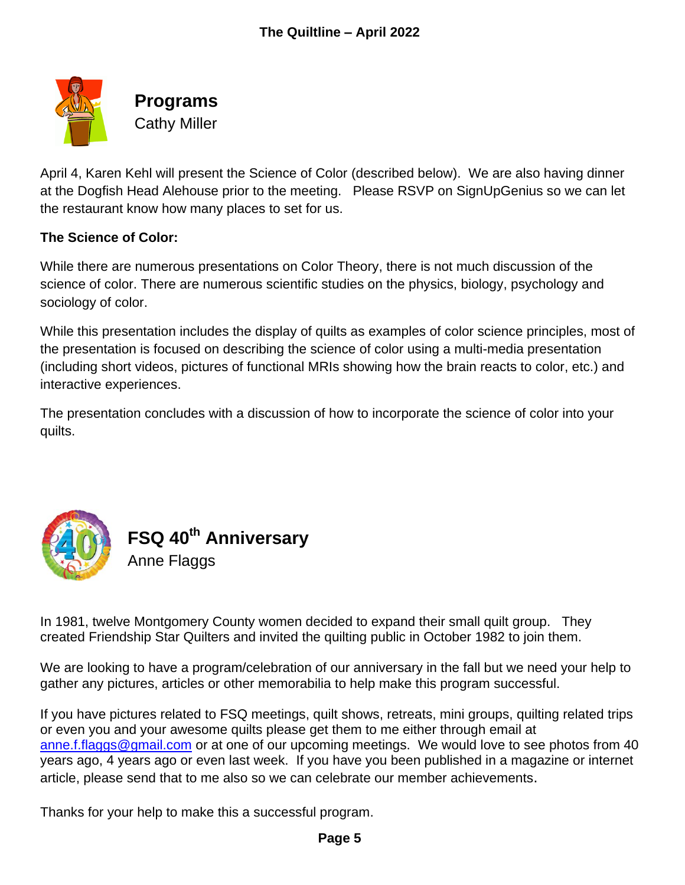

**Programs** Cathy Miller

April 4, Karen Kehl will present the Science of Color (described below). We are also having dinner at the Dogfish Head Alehouse prior to the meeting. Please RSVP on SignUpGenius so we can let the restaurant know how many places to set for us.

## **The Science of Color:**

While there are numerous presentations on Color Theory, there is not much discussion of the science of color. There are numerous scientific studies on the physics, biology, psychology and sociology of color.

While this presentation includes the display of quilts as examples of color science principles, most of the presentation is focused on describing the science of color using a multi-media presentation (including short videos, pictures of functional MRIs showing how the brain reacts to color, etc.) and interactive experiences.

The presentation concludes with a discussion of how to incorporate the science of color into your quilts.



**FSQ 40th Anniversary** Anne Flaggs

In 1981, twelve Montgomery County women decided to expand their small quilt group. They created Friendship Star Quilters and invited the quilting public in October 1982 to join them.

We are looking to have a program/celebration of our anniversary in the fall but we need your help to gather any pictures, articles or other memorabilia to help make this program successful.

If you have pictures related to FSQ meetings, quilt shows, retreats, mini groups, quilting related trips or even you and your awesome quilts please get them to me either through email at [anne.f.flaggs@gmail.com](mailto:anne.f.flaggs@gmail.com) or at one of our upcoming meetings. We would love to see photos from 40 years ago, 4 years ago or even last week. If you have you been published in a magazine or internet article, please send that to me also so we can celebrate our member achievements.

Thanks for your help to make this a successful program.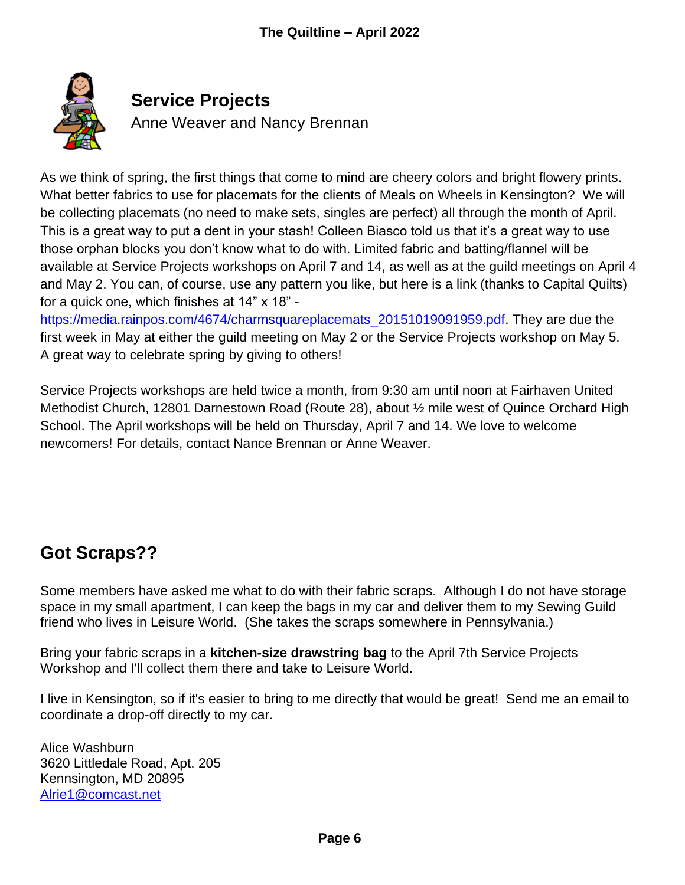

## **Service Projects**

Anne Weaver and Nancy Brennan

As we think of spring, the first things that come to mind are cheery colors and bright flowery prints. What better fabrics to use for placemats for the clients of Meals on Wheels in Kensington? We will be collecting placemats (no need to make sets, singles are perfect) all through the month of April. This is a great way to put a dent in your stash! Colleen Biasco told us that it's a great way to use those orphan blocks you don't know what to do with. Limited fabric and batting/flannel will be available at Service Projects workshops on April 7 and 14, as well as at the guild meetings on April 4 and May 2. You can, of course, use any pattern you like, but here is a link (thanks to Capital Quilts) for a quick one, which finishes at 14" x 18" -

[https://media.rainpos.com/4674/charmsquareplacemats\\_20151019091959.pdf.](https://media.rainpos.com/4674/charmsquareplacemats_20151019091959.pdf) They are due the first week in May at either the guild meeting on May 2 or the Service Projects workshop on May 5. A great way to celebrate spring by giving to others!

Service Projects workshops are held twice a month, from 9:30 am until noon at Fairhaven United Methodist Church, 12801 Darnestown Road (Route 28), about ½ mile west of Quince Orchard High School. The April workshops will be held on Thursday, April 7 and 14. We love to welcome newcomers! For details, contact Nance Brennan or Anne Weaver.

# **Got Scraps??**

Some members have asked me what to do with their fabric scraps. Although I do not have storage space in my small apartment, I can keep the bags in my car and deliver them to my Sewing Guild friend who lives in Leisure World. (She takes the scraps somewhere in Pennsylvania.)

Bring your fabric scraps in a **kitchen-size drawstring bag** to the April 7th Service Projects Workshop and I'll collect them there and take to Leisure World.

I live in Kensington, so if it's easier to bring to me directly that would be great! Send me an email to coordinate a drop-off directly to my car.

Alice Washburn 3620 Littledale Road, Apt. 205 Kennsington, MD 20895 [Alrie1@comcast.net](mailto:Alrie1@comcast.net)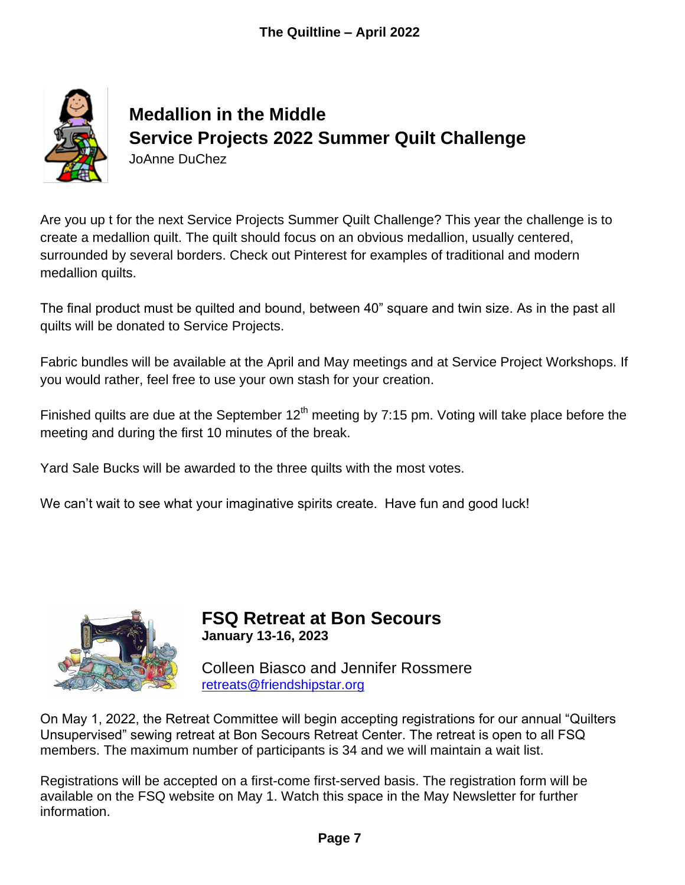

# **Medallion in the Middle Service Projects 2022 Summer Quilt Challenge** JoAnne DuChez

Are you up t for the next Service Projects Summer Quilt Challenge? This year the challenge is to create a medallion quilt. The quilt should focus on an obvious medallion, usually centered, surrounded by several borders. Check out Pinterest for examples of traditional and modern medallion quilts.

The final product must be quilted and bound, between 40" square and twin size. As in the past all quilts will be donated to Service Projects.

Fabric bundles will be available at the April and May meetings and at Service Project Workshops. If you would rather, feel free to use your own stash for your creation.

Finished quilts are due at the September  $12<sup>th</sup>$  meeting by 7:15 pm. Voting will take place before the meeting and during the first 10 minutes of the break.

Yard Sale Bucks will be awarded to the three quilts with the most votes.

We can't wait to see what your imaginative spirits create. Have fun and good luck!



**FSQ Retreat at Bon Secours January 13-16, 2023**

Colleen Biasco and Jennifer Rossmere [retreats@friendshipstar.org](mailto:retreats@friendshipstar.org)

On May 1, 2022, the Retreat Committee will begin accepting registrations for our annual "Quilters Unsupervised" sewing retreat at Bon Secours Retreat Center. The retreat is open to all FSQ members. The maximum number of participants is 34 and we will maintain a wait list.

Registrations will be accepted on a first-come first-served basis. The registration form will be available on the FSQ website on May 1. Watch this space in the May Newsletter for further information.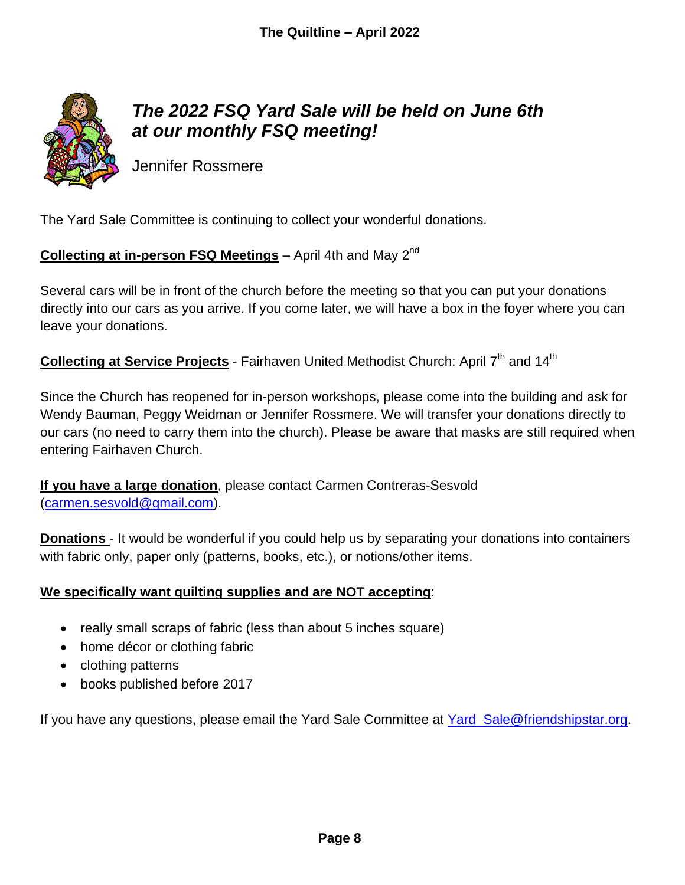

# *The 2022 FSQ Yard Sale will be held on June 6th at our monthly FSQ meeting!*

Jennifer Rossmere

The Yard Sale Committee is continuing to collect your wonderful donations.

## **Collecting at in-person FSQ Meetings** – April 4th and May 2<sup>nd</sup>

Several cars will be in front of the church before the meeting so that you can put your donations directly into our cars as you arrive. If you come later, we will have a box in the foyer where you can leave your donations.

Collecting at Service Projects - Fairhaven United Methodist Church: April 7<sup>th</sup> and 14<sup>th</sup>

Since the Church has reopened for in-person workshops, please come into the building and ask for Wendy Bauman, Peggy Weidman or Jennifer Rossmere. We will transfer your donations directly to our cars (no need to carry them into the church). Please be aware that masks are still required when entering Fairhaven Church.

**If you have a large donation**, please contact Carmen Contreras-Sesvold [\(carmen.sesvold@gmail.com\)](mailto:carmen.sesvold@gmail.com).

**Donations** - It would be wonderful if you could help us by separating your donations into containers with fabric only, paper only (patterns, books, etc.), or notions/other items.

## **We specifically want quilting supplies and are NOT accepting**:

- really small scraps of fabric (less than about 5 inches square)
- home décor or clothing fabric
- clothing patterns
- books published before 2017

If you have any questions, please email the Yard Sale Committee at [Yard\\_Sale@friendshipstar.org.](mailto:Yard_Sale@friendshipstar.org)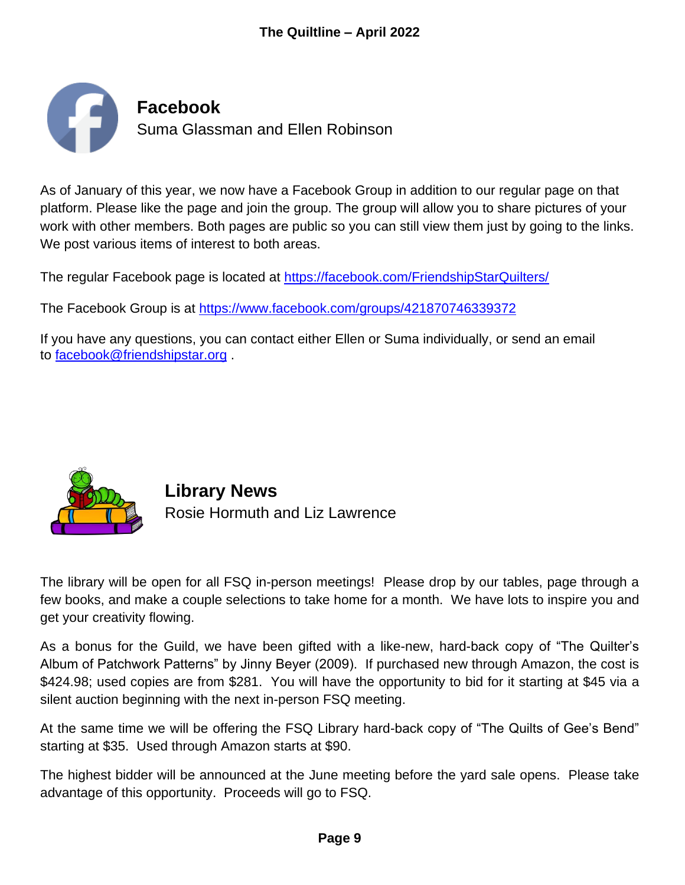

As of January of this year, we now have a Facebook Group in addition to our regular page on that platform. Please like the page and join the group. The group will allow you to share pictures of your work with other members. Both pages are public so you can still view them just by going to the links. We post various items of interest to both areas.

The regular Facebook page is located at <https://facebook.com/FriendshipStarQuilters/>

The Facebook Group is at <https://www.facebook.com/groups/421870746339372>

If you have any questions, you can contact either Ellen or Suma individually, or send an email to [facebook@friendshipstar.org](mailto:facebook@friendshipstar.org) .



**Library News** Rosie Hormuth and Liz Lawrence

The library will be open for all FSQ in-person meetings! Please drop by our tables, page through a few books, and make a couple selections to take home for a month. We have lots to inspire you and get your creativity flowing.

As a bonus for the Guild, we have been gifted with a like-new, hard-back copy of "The Quilter's Album of Patchwork Patterns" by Jinny Beyer (2009). If purchased new through Amazon, the cost is \$424.98; used copies are from \$281. You will have the opportunity to bid for it starting at \$45 via a silent auction beginning with the next in-person FSQ meeting.

At the same time we will be offering the FSQ Library hard-back copy of "The Quilts of Gee's Bend" starting at \$35. Used through Amazon starts at \$90.

The highest bidder will be announced at the June meeting before the yard sale opens. Please take advantage of this opportunity. Proceeds will go to FSQ.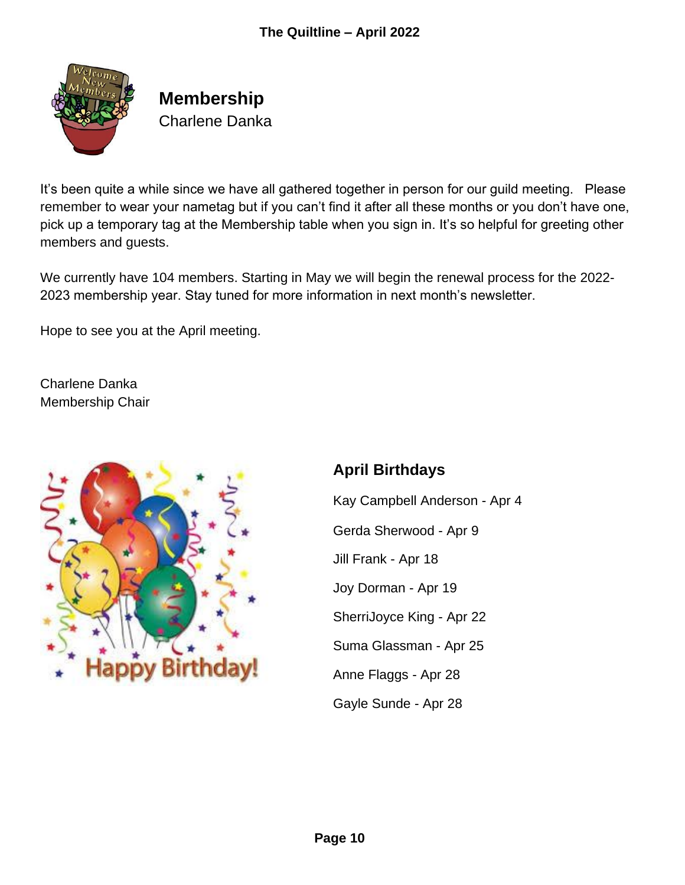

**Membership** Charlene Danka

It's been quite a while since we have all gathered together in person for our guild meeting. Please remember to wear your nametag but if you can't find it after all these months or you don't have one, pick up a temporary tag at the Membership table when you sign in. It's so helpful for greeting other members and guests.

We currently have 104 members. Starting in May we will begin the renewal process for the 2022- 2023 membership year. Stay tuned for more information in next month's newsletter.

Hope to see you at the April meeting.

Charlene Danka Membership Chair



## **April Birthdays**

Kay Campbell Anderson - Apr 4 Gerda Sherwood - Apr 9 Jill Frank - Apr 18 Joy Dorman - Apr 19 SherriJoyce King - Apr 22 Suma Glassman - Apr 25 Anne Flaggs - Apr 28 Gayle Sunde - Apr 28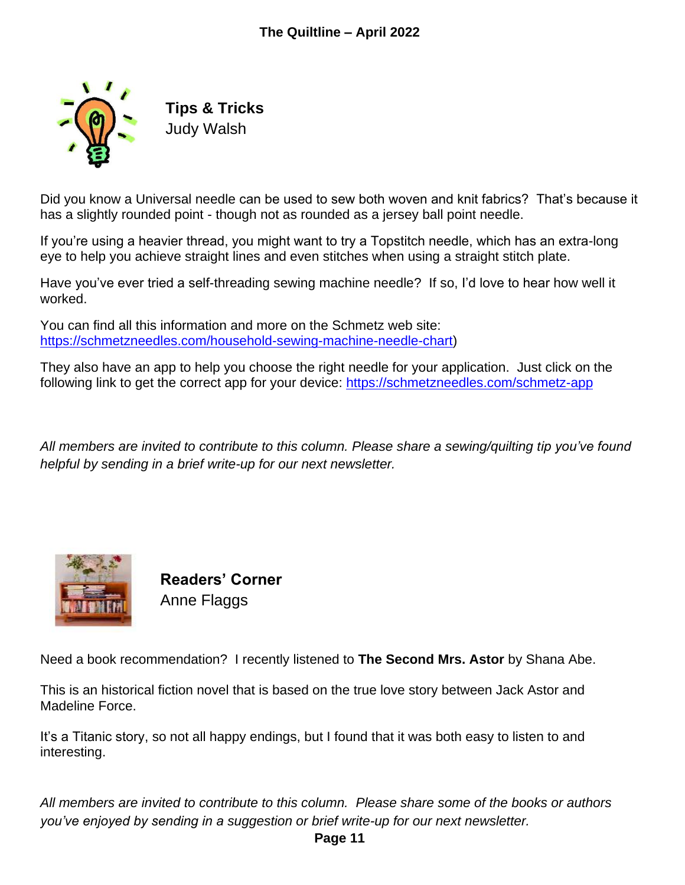

**Tips & Tricks** Judy Walsh

Did you know a Universal needle can be used to sew both woven and knit fabrics? That's because it has a slightly rounded point - though not as rounded as a jersey ball point needle.

If you're using a heavier thread, you might want to try a Topstitch needle, which has an extra-long eye to help you achieve straight lines and even stitches when using a straight stitch plate.

Have you've ever tried a self-threading sewing machine needle? If so, I'd love to hear how well it worked.

You can find all this information and more on the Schmetz web site: [https://schmetzneedles.com/household-sewing-machine-needle-chart\)](https://schmetzneedles.com/household-sewing-machine-needle-chart)

They also have an app to help you choose the right needle for your application. Just click on the following link to get the correct app for your device:<https://schmetzneedles.com/schmetz-app>

*All members are invited to contribute to this column. Please share a sewing/quilting tip you've found helpful by sending in a brief write-up for our next newsletter.*



**Readers' Corner** Anne Flaggs

Need a book recommendation? I recently listened to **The Second Mrs. Astor** by Shana Abe.

This is an historical fiction novel that is based on the true love story between Jack Astor and Madeline Force.

It's a Titanic story, so not all happy endings, but I found that it was both easy to listen to and interesting.

*All members are invited to contribute to this column. Please share some of the books or authors you've enjoyed by sending in a suggestion or brief write-up for our next newsletter.*